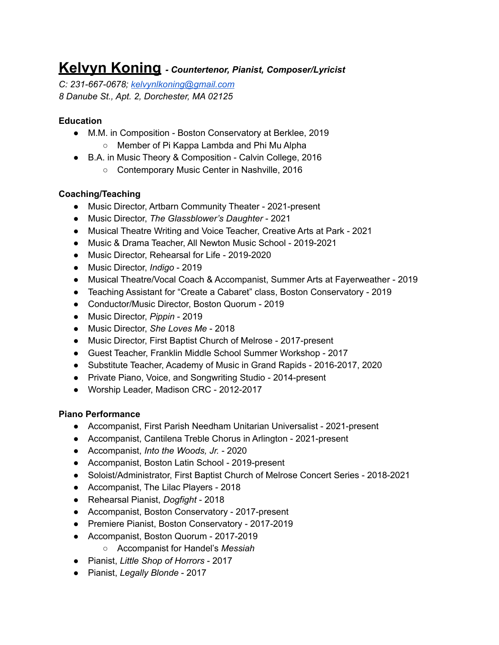# **Kelvyn Koning** *- Countertenor, Pianist, Composer/Lyricist*

*C: 231-667-0678; [kelvynlkoning@gmail.com](mailto:kelvynlkoning@gmail.com) 8 Danube St., Apt. 2, Dorchester, MA 02125*

### **Education**

- M.M. in Composition Boston Conservatory at Berklee, 2019 ○ Member of Pi Kappa Lambda and Phi Mu Alpha
- B.A. in Music Theory & Composition Calvin College, 2016
	- Contemporary Music Center in Nashville, 2016

# **Coaching/Teaching**

- Music Director, Artbarn Community Theater 2021-present
- Music Director, *The Glassblower's Daughter* 2021
- Musical Theatre Writing and Voice Teacher, Creative Arts at Park 2021
- Music & Drama Teacher, All Newton Music School 2019-2021
- Music Director, Rehearsal for Life 2019-2020
- Music Director, *Indigo* 2019
- Musical Theatre/Vocal Coach & Accompanist, Summer Arts at Fayerweather 2019
- Teaching Assistant for "Create a Cabaret" class, Boston Conservatory 2019
- Conductor/Music Director, Boston Quorum 2019
- Music Director, *Pippin* 2019
- Music Director, *She Loves Me* 2018
- Music Director, First Baptist Church of Melrose 2017-present
- Guest Teacher, Franklin Middle School Summer Workshop 2017
- Substitute Teacher, Academy of Music in Grand Rapids 2016-2017, 2020
- Private Piano, Voice, and Songwriting Studio 2014-present
- Worship Leader, Madison CRC 2012-2017

### **Piano Performance**

- Accompanist, First Parish Needham Unitarian Universalist 2021-present
- Accompanist, Cantilena Treble Chorus in Arlington 2021-present
- Accompanist, *Into the Woods, Jr.* 2020
- Accompanist, Boston Latin School 2019-present
- Soloist/Administrator, First Baptist Church of Melrose Concert Series 2018-2021
- Accompanist, The Lilac Players 2018
- Rehearsal Pianist, *Dogfight* 2018
- Accompanist, Boston Conservatory 2017-present
- Premiere Pianist, Boston Conservatory 2017-2019
- Accompanist, Boston Quorum 2017-2019
	- Accompanist for Handel's *Messiah*
- Pianist, *Little Shop of Horrors* 2017
- Pianist, *Legally Blonde* 2017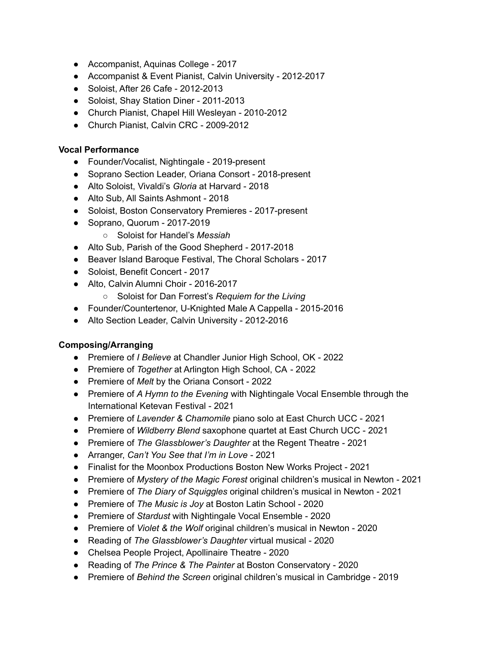- Accompanist, Aquinas College 2017
- Accompanist & Event Pianist, Calvin University 2012-2017
- Soloist, After 26 Cafe 2012-2013
- Soloist, Shay Station Diner 2011-2013
- Church Pianist, Chapel Hill Wesleyan 2010-2012
- Church Pianist, Calvin CRC 2009-2012

#### **Vocal Performance**

- Founder/Vocalist, Nightingale 2019-present
- Soprano Section Leader, Oriana Consort 2018-present
- Alto Soloist, Vivaldi's *Gloria* at Harvard 2018
- Alto Sub, All Saints Ashmont 2018
- Soloist, Boston Conservatory Premieres 2017-present
- Soprano, Quorum 2017-2019
	- Soloist for Handel's *Messiah*
- Alto Sub, Parish of the Good Shepherd 2017-2018
- Beaver Island Baroque Festival, The Choral Scholars 2017
- Soloist, Benefit Concert 2017
- Alto, Calvin Alumni Choir 2016-2017
	- *○* Soloist for Dan Forrest's *Requiem for the Living*
- Founder/Countertenor, U-Knighted Male A Cappella 2015-2016
- Alto Section Leader, Calvin University 2012-2016

### **Composing/Arranging**

- Premiere of *I Believe* at Chandler Junior High School, OK 2022
- Premiere of *Together* at Arlington High School, CA 2022
- Premiere of *Melt* by the Oriana Consort 2022
- Premiere of *A Hymn to the Evening* with Nightingale Vocal Ensemble through the International Ketevan Festival - 2021
- Premiere of *Lavender & Chamomile* piano solo at East Church UCC 2021
- Premiere of *Wildberry Blend* saxophone quartet at East Church UCC 2021
- Premiere of *The Glassblower's Daughter* at the Regent Theatre 2021
- Arranger, *Can't You See that I'm in Love* 2021
- Finalist for the Moonbox Productions Boston New Works Project 2021
- Premiere of *Mystery of the Magic Forest* original children's musical in Newton 2021
- Premiere of *The Diary of Squiggles* original children's musical in Newton 2021
- Premiere of *The Music is Joy* at Boston Latin School 2020
- Premiere of *Stardust* with Nightingale Vocal Ensemble 2020
- Premiere of *Violet & the Wolf* original children's musical in Newton 2020
- *●* Reading of *The Glassblower's Daughter* virtual musical 2020
- Chelsea People Project, Apollinaire Theatre 2020
- Reading of *The Prince & The Painter* at Boston Conservatory 2020
- Premiere of *Behind the Screen* original children's musical in Cambridge 2019